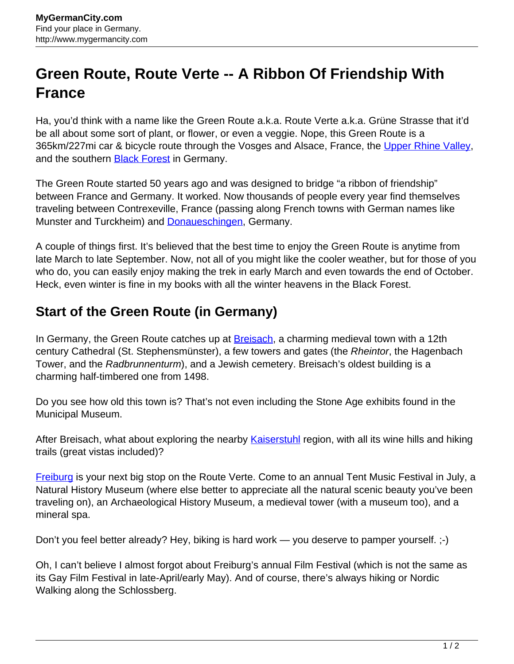## **Green Route, Route Verte -- A Ribbon Of Friendship With France**

Ha, you'd think with a name like the Green Route a.k.a. Route Verte a.k.a. Grüne Strasse that it'd be all about some sort of plant, or flower, or even a veggie. Nope, this Green Route is a 365km/227mi car & bicycle route through the Vosges and Alsace, France, the [Upper Rhine Valley,](http://www.mygermancity.com/upper-rhine-valley) and the southern **Black Forest** in Germany.

The Green Route started 50 years ago and was designed to bridge "a ribbon of friendship" between France and Germany. It worked. Now thousands of people every year find themselves traveling between Contrexeville, France (passing along French towns with German names like Munster and Turckheim) and **Donaueschingen**, Germany.

A couple of things first. It's believed that the best time to enjoy the Green Route is anytime from late March to late September. Now, not all of you might like the cooler weather, but for those of you who do, you can easily enjoy making the trek in early March and even towards the end of October. Heck, even winter is fine in my books with all the winter heavens in the Black Forest.

## **Start of the Green Route (in Germany)**

In Germany, the Green Route catches up at [Breisach](http://www.mygermancity.com/breisach), a charming medieval town with a 12th century Cathedral (St. Stephensmünster), a few towers and gates (the Rheintor, the Hagenbach Tower, and the Radbrunnenturm), and a Jewish cemetery. Breisach's oldest building is a charming half-timbered one from 1498.

Do you see how old this town is? That's not even including the Stone Age exhibits found in the Municipal Museum.

After Breisach, what about exploring the nearby [Kaiserstuhl](http://www.mygermancity.com/kaiserstuhl) region, with all its wine hills and hiking trails (great vistas included)?

[Freiburg](http://www.mygermancity.com/freiburg) is your next big stop on the Route Verte. Come to an annual Tent Music Festival in July, a Natural History Museum (where else better to appreciate all the natural scenic beauty you've been traveling on), an Archaeological History Museum, a medieval tower (with a museum too), and a mineral spa.

Don't you feel better already? Hey, biking is hard work — you deserve to pamper yourself. :-)

Oh, I can't believe I almost forgot about Freiburg's annual Film Festival (which is not the same as its Gay Film Festival in late-April/early May). And of course, there's always hiking or Nordic Walking along the Schlossberg.